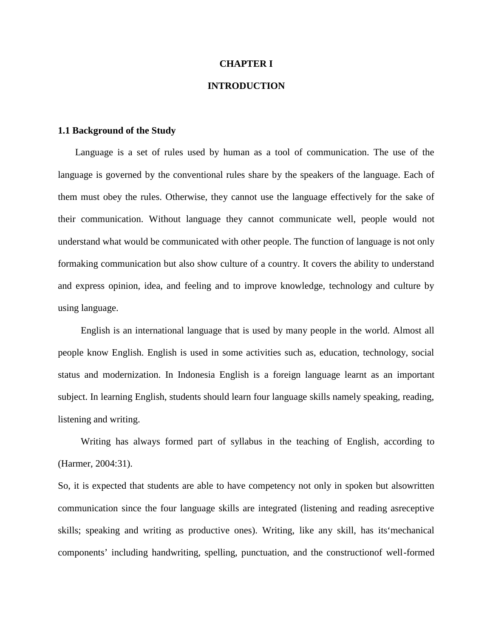#### **CHAPTER I**

### **INTRODUCTION**

#### **1.1 Background of the Study**

Language is a set of rules used by human as a tool of communication. The use of the language is governed by the conventional rules share by the speakers of the language. Each of them must obey the rules. Otherwise, they cannot use the language effectively for the sake of their communication. Without language they cannot communicate well, people would not understand what would be communicated with other people. The function of language is not only formaking communication but also show culture of a country. It covers the ability to understand and express opinion, idea, and feeling and to improve knowledge, technology and culture by using language.

English is an international language that is used by many people in the world. Almost all people know English. English is used in some activities such as, education, technology, social status and modernization. In Indonesia English is a foreign language learnt as an important subject. In learning English, students should learn four language skills namely speaking, reading, listening and writing.

Writing has always formed part of syllabus in the teaching of English, according to (Harmer, 2004:31).

So, it is expected that students are able to have competency not only in spoken but alsowritten communication since the four language skills are integrated (listening and reading asreceptive skills; speaking and writing as productive ones). Writing, like any skill, has its'mechanical components' including handwriting, spelling, punctuation, and the constructionof well-formed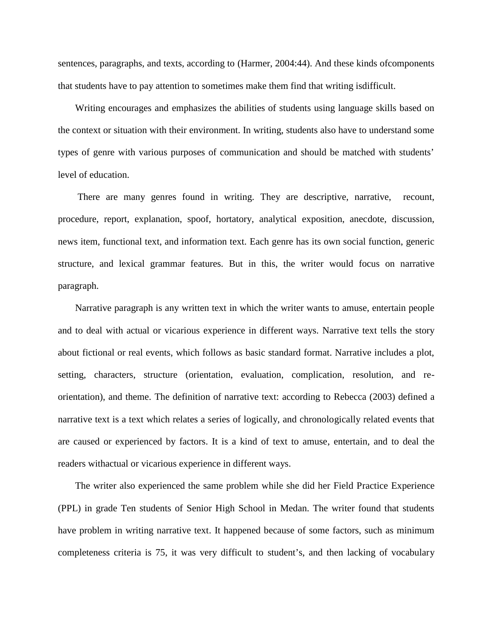sentences, paragraphs, and texts, according to (Harmer, 2004:44). And these kinds ofcomponents that students have to pay attention to sometimes make them find that writing isdifficult.

Writing encourages and emphasizes the abilities of students using language skills based on the context or situation with their environment. In writing, students also have to understand some types of genre with various purposes of communication and should be matched with students' level of education.

There are many genres found in writing. They are descriptive, narrative, recount, procedure, report, explanation, spoof, hortatory, analytical exposition, anecdote, discussion, news item, functional text, and information text. Each genre has its own social function, generic structure, and lexical grammar features. But in this, the writer would focus on narrative paragraph.

Narrative paragraph is any written text in which the writer wants to amuse, entertain people and to deal with actual or vicarious experience in different ways. Narrative text tells the story about fictional or real events, which follows as basic standard format. Narrative includes a plot, setting, characters, structure (orientation, evaluation, complication, resolution, and re orientation), and theme. The definition of narrative text: according to Rebecca (2003) defined a narrative text is a text which relates a series of logically, and chronologically related events that are caused or experienced by factors. It is a kind of text to amuse, entertain, and to deal the readers withactual or vicarious experience in different ways.

The writer also experienced the same problem while she did her Field Practice Experience (PPL) in grade Ten students of Senior High School in Medan. The writer found that students have problem in writing narrative text. It happened because of some factors, such as minimum completeness criteria is 75, it was very difficult to student's, and then lacking of vocabulary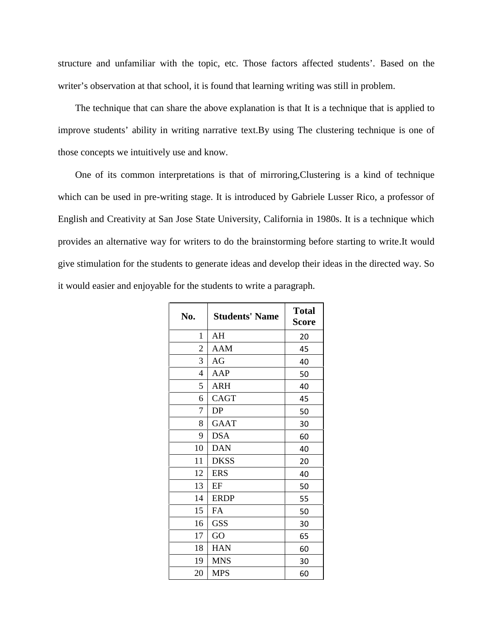structure and unfamiliar with the topic, etc. Those factors affected students'. Based on the writer's observation at that school, it is found that learning writing was still in problem.

The technique that can share the above explanation is that It is a technique that is applied to improve students' ability in writing narrative text.By using The clustering technique is one of those concepts we intuitively use and know.

One of its common interpretations is that of mirroring,Clustering is a kind of technique which can be used in pre-writing stage. It is introduced by Gabriele Lusser Rico, a professor of English and Creativity at San Jose State University, California in 1980s. It is a technique which provides an alternative way for writers to do the brainstorming before starting to write.It would give stimulation for the students to generate ideas and develop their ideas in the directed way. So it would easier and enjoyable for the students to write a paragraph.

| No.          | <b>Students' Name</b> | <b>Total</b><br><b>Score</b> |
|--------------|-----------------------|------------------------------|
| $\mathbf{1}$ | AH                    | 20                           |
| 2            | AAM                   | 45                           |
| 3            | AG                    | 40                           |
| 4            | AAP                   | 50                           |
| 5            | ARH                   | 40                           |
| 6            | CAGT                  | 45                           |
| 7            | DP                    | 50                           |
| 8            | GAAT                  | 30                           |
| 9            | <b>DSA</b>            | 60                           |
| 10           | <b>DAN</b>            | 40                           |
| 11           | <b>DKSS</b>           | 20                           |
| 12           | <b>ERS</b>            | 40                           |
| 13           | EF                    | 50                           |
| 14           | <b>ERDP</b>           | 55                           |
| 15           | FA                    | 50                           |
| 16           | <b>GSS</b>            | 30                           |
| 17           | GO                    | 65                           |
| 18           | <b>HAN</b>            | 60                           |
| 19           | <b>MNS</b>            | 30                           |
| 20           | <b>MPS</b>            | 60                           |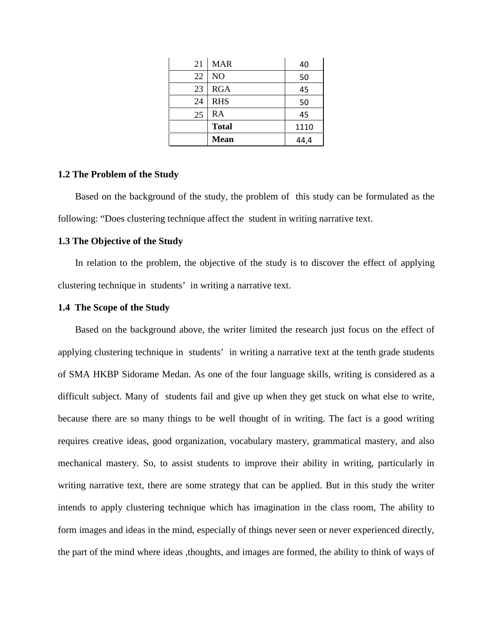| 21 | <b>MAR</b>   | 40   |  |
|----|--------------|------|--|
| 22 | NO           | 50   |  |
| 23 | <b>RGA</b>   | 45   |  |
| 24 | <b>RHS</b>   | 50   |  |
| 25 | RA           | 45   |  |
|    | <b>Total</b> | 1110 |  |
|    | <b>Mean</b>  | 44,4 |  |

#### **1.2 The Problem of the Study**

Based on the background of the study, the problem of this study can be formulated as the following: "Does clustering technique affect the student in writing narrative text.

#### **1.3 The Objective of the Study**

In relation to the problem, the objective of the study is to discover the effect of applying clustering technique in students' in writing a narrative text.

#### **1.4 The Scope of the Study**

Based on the background above, the writer limited the research just focus on the effect of applying clustering technique in students' in writing a narrative text at the tenth grade students of SMA HKBP Sidorame Medan. As one of the four language skills, writing is considered as a difficult subject. Many of students fail and give up when they get stuck on what else to write, because there are so many things to be well thought of in writing. The fact is a good writing requires creative ideas, good organization, vocabulary mastery, grammatical mastery, and also mechanical mastery. So, to assist students to improve their ability in writing, particularly in writing narrative text, there are some strategy that can be applied. But in this study the writer intends to apply clustering technique which has imagination in the class room, The ability to form images and ideas in the mind, especially of things never seen or never experienced directly, the part of the mind where ideas ,thoughts, and images are formed, the ability to think of ways of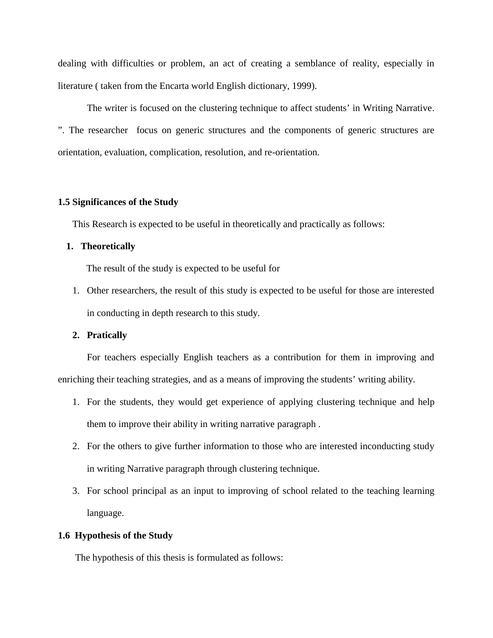dealing with difficulties or problem, an act of creating a semblance of reality, especially in literature ( taken from the Encarta world English dictionary, 1999).

The writer is focused on the clustering technique to affect students' in Writing Narrative. ". The researcher focus on generic structures and the components of generic structures are orientation, evaluation, complication, resolution, and re-orientation.

#### **1.5 Significances of the Study**

This Research is expected to be useful in theoretically and practically as follows:

#### **1. Theoretically**

The result of the study is expected to be useful for

1. Other researchers, the result of this study is expected to be useful for those are interested in conducting in depth research to this study.

#### **2. Pratically**

For teachers especially English teachers as a contribution for them in improving and enriching their teaching strategies, and as a means of improving the students' writing ability.

- 1. For the students, they would get experience of applying clustering technique and help them to improve their ability in writing narrative paragraph .
- 2. For the others to give further information to those who are interested inconducting study in writing Narrative paragraph through clustering technique.
- 3. For school principal as an input to improving of school related to the teaching learning language.

#### **1.6 Hypothesis of the Study**

The hypothesis of this thesis is formulated as follows: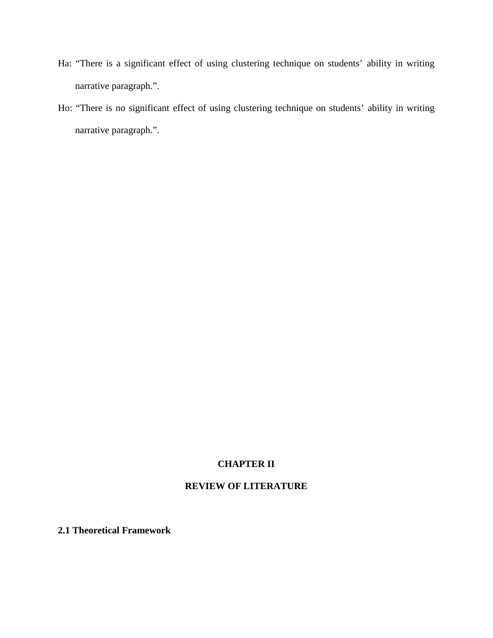- Ha: "There is a significant effect of using clustering technique on students' ability in writing narrative paragraph.".
- Ho: "There is no significant effect of using clustering technique on students' ability in writing narrative paragraph.".

## **CHAPTER II**

# **REVIEW OF LITERATURE**

**2.1 Theoretical Framework**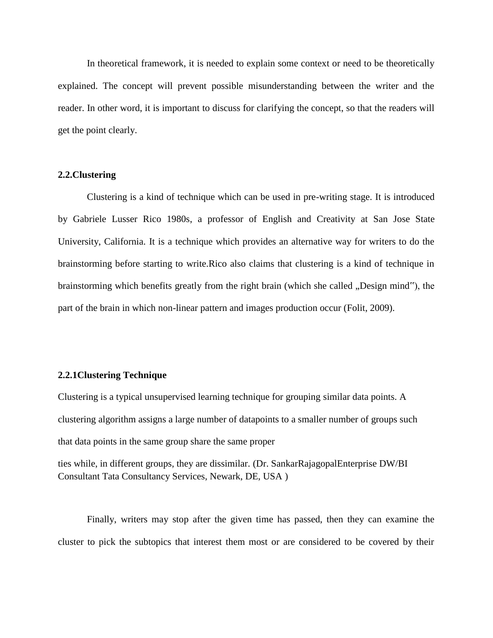In theoretical framework, it is needed to explain some context or need to be theoretically explained. The concept will prevent possible misunderstanding between the writer and the reader. In other word, it is important to discuss for clarifying the concept, so that the readers will get the point clearly.

#### **2.2.Clustering**

Clustering is a kind of technique which can be used in pre-writing stage. It is introduced by Gabriele Lusser Rico 1980s, a professor of English and Creativity at San Jose State University, California. It is a technique which provides an alternative way for writers to do the brainstorming before starting to write.Rico also claims that clustering is a kind of technique in brainstorming which benefits greatly from the right brain (which she called , Design mind"), the part of the brain in which non-linear pattern and images production occur (Folit, 2009).

#### **2.2.1Clustering Technique**

Clustering is a typical unsupervised learning technique for grouping similar data points. A clustering algorithm assigns a large number of datapoints to a smaller number of groups such that data points in the same group share the same proper

ties while, in different groups, they are dissimilar. (Dr. SankarRajagopalEnterprise DW/BI Consultant Tata Consultancy Services, Newark, DE, USA )

Finally, writers may stop after the given time has passed, then they can examine the cluster to pick the subtopics that interest them most or are considered to be covered by their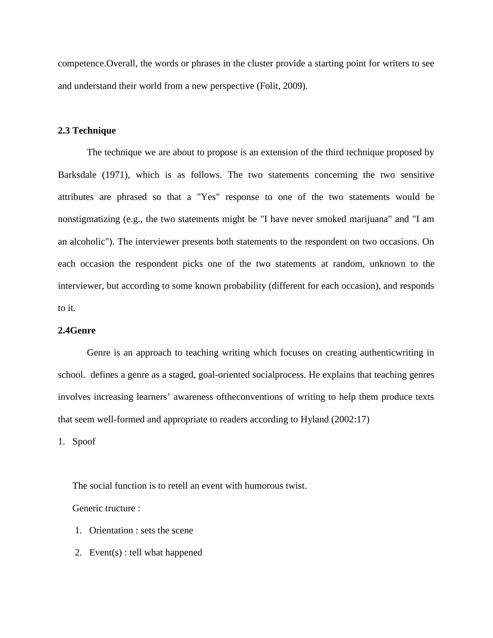competence.Overall, the words or phrases in the cluster provide a starting point for writers to see and understand their world from a new perspective (Folit, 2009).

#### **2.3 Technique**

The technique we are about to propose is an extension of the third technique proposed by Barksdale (1971), which is as follows. The two statements concerning the two sensitive attributes are phrased so that a "Yes" response to one of the two statements would be nonstigmatizing (e.g., the two statements might be "I have never smoked marijuana" and "I am an alcoholic"). The interviewer presents both statements to the respondent on two occasions. On each occasion the respondent picks one of the two statements at random, unknown to the interviewer, but according to some known probability (different for each occasion), and responds to it.

#### **2.4Genre**

Genre is an approach to teaching writing which focuses on creating authenticwriting in school. defines a genre as a staged, goal-oriented socialprocess. He explains that teaching genres involves increasing learners' awareness oftheconventions of writing to help them produce texts that seem well-formed and appropriate to readers according to Hyland (2002:17)

1. Spoof

The social function is to retell an event with humorous twist.

Generic tructure :

- 1. Orientation : sets the scene
- 2. Event(s) : tell what happened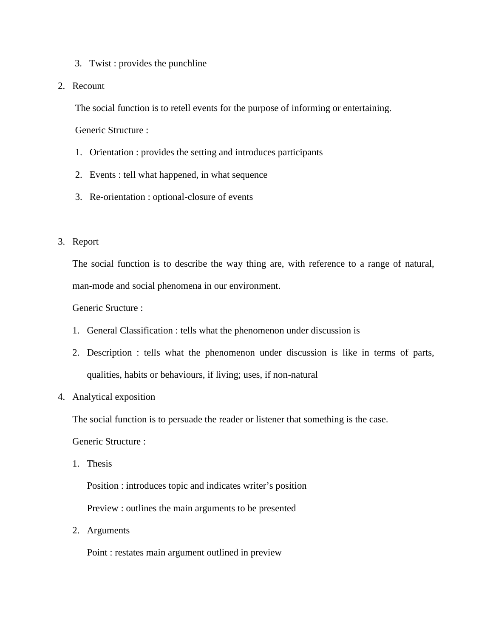- 3. Twist : provides the punchline
- 2. Recount

The social function is to retell events for the purpose of informing or entertaining.

Generic Structure :

- 1. Orientation : provides the setting and introduces participants
- 2. Events : tell what happened, in what sequence
- 3. Re-orientation : optional-closure of events
- 3. Report

The social function is to describe the way thing are, with reference to a range of natural, man-mode and social phenomena in our environment.

Generic Sructure :

- 1. General Classification : tells what the phenomenon under discussion is
- 2. Description : tells what the phenomenon under discussion is like in terms of parts, qualities, habits or behaviours, if living; uses, if non-natural
- 4. Analytical exposition

The social function is to persuade the reader or listener that something is the case.

Generic Structure :

1. Thesis

Position : introduces topic and indicates writer's position

Preview : outlines the main arguments to be presented

2. Arguments

Point : restates main argument outlined in preview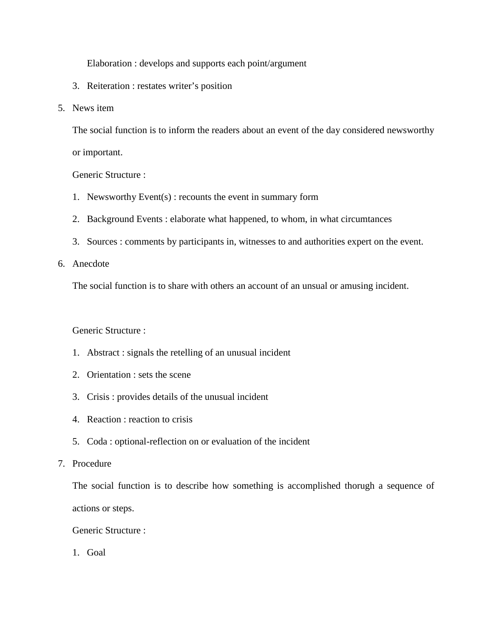Elaboration : develops and supports each point/argument

- 3. Reiteration : restates writer's position
- 5. News item

The social function is to inform the readers about an event of the day considered newsworthy or important.

Generic Structure :

- 1. Newsworthy Event(s) : recounts the event in summary form
- 2. Background Events : elaborate what happened, to whom, in what circumtances
- 3. Sources : comments by participants in, witnesses to and authorities expert on the event.

6. Anecdote

The social function is to share with others an account of an unsual or amusing incident.

#### Generic Structure :

- 1. Abstract : signals the retelling of an unusual incident
- 2. Orientation : sets the scene
- 3. Crisis : provides details of the unusual incident
- 4. Reaction : reaction to crisis
- 5. Coda : optional-reflection on or evaluation of the incident
- 7. Procedure

The social function is to describe how something is accomplished thorugh a sequence of actions or steps.

Generic Structure :

1. Goal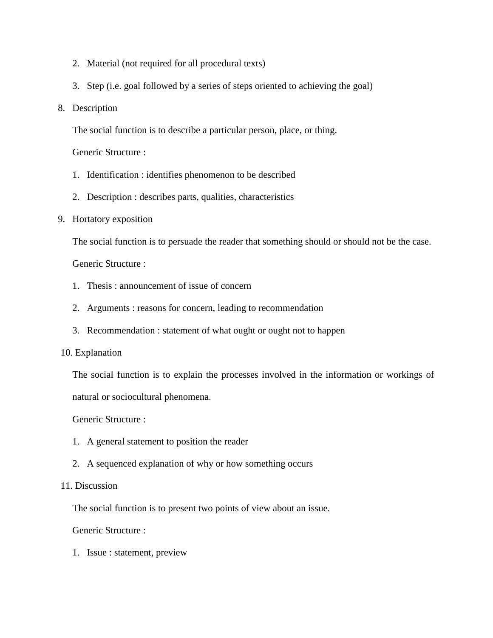- 2. Material (not required for all procedural texts)
- 3. Step (i.e. goal followed by a series of steps oriented to achieving the goal)
- 8. Description

The social function is to describe a particular person, place, or thing.

Generic Structure :

- 1. Identification : identifies phenomenon to be described
- 2. Description : describes parts, qualities, characteristics
- 9. Hortatory exposition

The social function is to persuade the reader that something should or should not be the case.

Generic Structure :

- 1. Thesis : announcement of issue of concern
- 2. Arguments : reasons for concern, leading to recommendation
- 3. Recommendation : statement of what ought or ought not to happen

### 10. Explanation

The social function is to explain the processes involved in the information or workings of natural or sociocultural phenomena.

Generic Structure :

- 1. A general statement to position the reader
- 2. A sequenced explanation of why or how something occurs

### 11. Discussion

The social function is to present two points of view about an issue.

Generic Structure :

1. Issue : statement, preview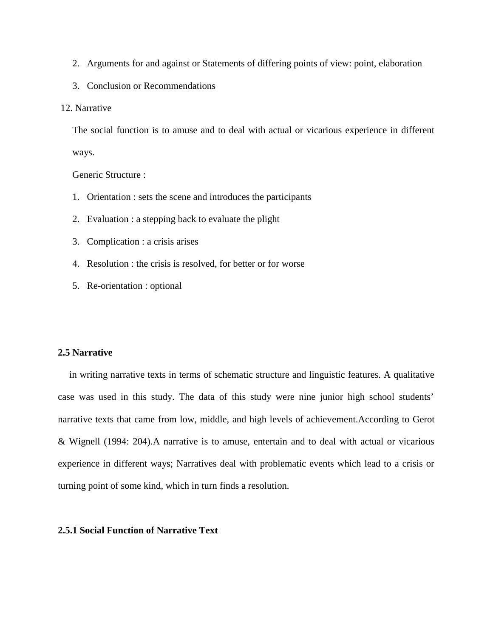- 2. Arguments for and against or Statements of differing points of view: point, elaboration
- 3. Conclusion or Recommendations
- 12. Narrative

The social function is to amuse and to deal with actual or vicarious experience in different ways.

Generic Structure :

- 1. Orientation : sets the scene and introduces the participants
- 2. Evaluation : a stepping back to evaluate the plight
- 3. Complication : a crisis arises
- 4. Resolution : the crisis is resolved, for better or for worse
- 5. Re-orientation : optional

### **2.5 Narrative**

in writing narrative texts in terms of schematic structure and linguistic features. A qualitative case was used in this study. The data of this study were nine junior high school students' narrative texts that came from low, middle, and high levels of achievement.According to Gerot & Wignell (1994: 204).A narrative is to amuse, entertain and to deal with actual or vicarious experience in different ways; Narratives deal with problematic events which lead to a crisis or turning point of some kind, which in turn finds a resolution.

### **2.5.1 Social Function of Narrative Text**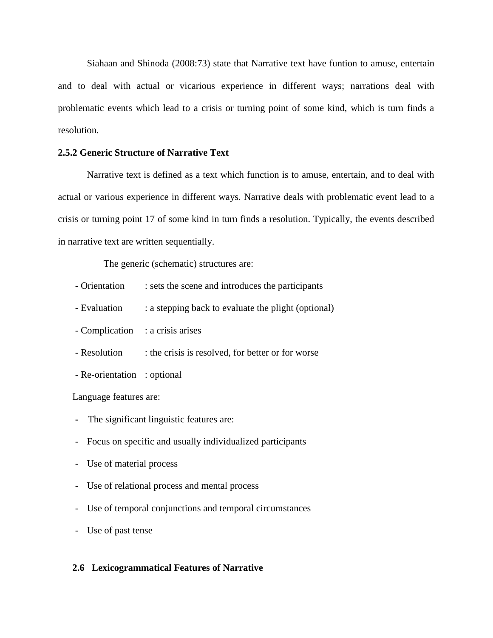Siahaan and Shinoda (2008:73) state that Narrative text have funtion to amuse, entertain and to deal with actual or vicarious experience in different ways; narrations deal with problematic events which lead to a crisis or turning point of some kind, which is turn finds a resolution.

### **2.5.2 Generic Structure of Narrative Text**

Narrative text is defined as a text which function is to amuse, entertain, and to deal with actual or various experience in different ways. Narrative deals with problematic event lead to a crisis or turning point 17 of some kind in turn finds a resolution. Typically, the events described in narrative text are written sequentially.

The generic (schematic) structures are:

- Orientation : sets the scene and introduces the participants
- Evaluation : a stepping back to evaluate the plight (optional)
- Complication : a crisis arises
- Resolution : the crisis is resolved, for better or for worse
- Re-orientation : optional

Language features are:

- **-** The significant linguistic features are:
- Focus on specific and usually individualized participants
- Use of material process
- Use of relational process and mental process
- Use of temporal conjunctions and temporal circumstances
- Use of past tense

#### **2.6 Lexicogrammatical Features of Narrative**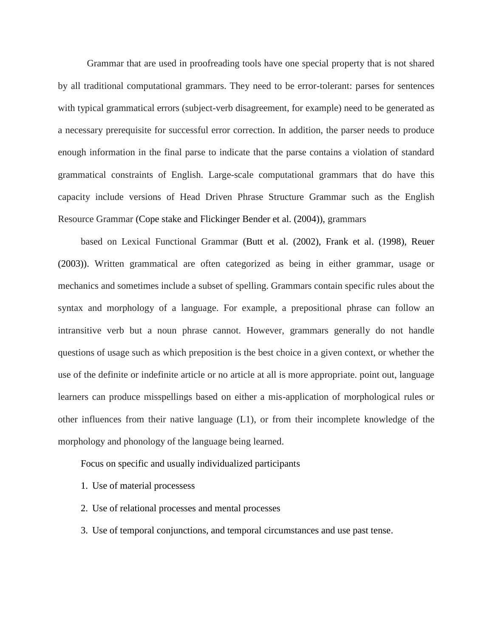Grammar that are used in proofreading tools have one special property that is not shared by all traditional computational grammars. They need to be error-tolerant: parses for sentences with typical grammatical errors (subject-verb disagreement, for example) need to be generated as a necessary prerequisite for successful error correction. In addition, the parser needs to produce enough information in the final parse to indicate that the parse contains a violation of standard grammatical constraints of English. Large-scale computational grammars that do have this capacity include versions of Head Driven Phrase Structure Grammar such as the English Resource Grammar (Cope stake and Flickinger Bender et al. (2004)), grammars

based on Lexical Functional Grammar (Butt et al. (2002), Frank et al. (1998), Reuer (2003)). Written grammatical are often categorized as being in either grammar, usage or mechanics and sometimes include a subset of spelling. Grammars contain specific rules about the syntax and morphology of a language. For example, a prepositional phrase can follow an intransitive verb but a noun phrase cannot. However, grammars generally do not handle questions of usage such as which preposition is the best choice in a given context, or whether the use of the definite or indefinite article or no article at all is more appropriate. point out, language learners can produce misspellings based on either a mis-application of morphological rules or other influences from their native language (L1), or from their incomplete knowledge of the morphology and phonology of the language being learned.

Focus on specific and usually individualized participants

- 1. Use of material processess
- 2. Use of relational processes and mental processes
- 3. Use of temporal conjunctions, and temporal circumstances and use past tense.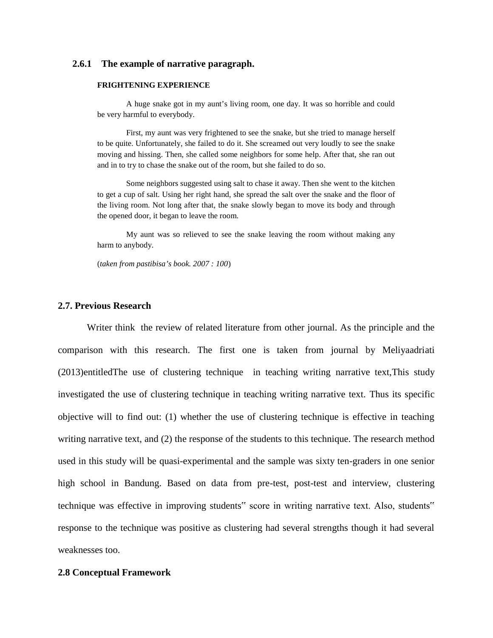#### **2.6.1 The example of narrative paragraph.**

#### **FRIGHTENING EXPERIENCE**

A huge snake got in my aunt's living room, one day. It was so horrible and could be very harmful to everybody.

First, my aunt was very frightened to see the snake, but she tried to manage herself to be quite. Unfortunately, she failed to do it. She screamed out very loudly to see the snake moving and hissing. Then, she called some neighbors for some help. After that, she ran out and in to try to chase the snake out of the room, but she failed to do so.

Some neighbors suggested using salt to chase it away. Then she went to the kitchen to get a cup of salt. Using her right hand, she spread the salt over the snake and the floor of the living room. Not long after that, the snake slowly began to move its body and through the opened door, it began to leave the room.

My aunt was so relieved to see the snake leaving the room without making any harm to anybody.

(*taken from pastibisa's book. 2007 : 100*)

#### **2.7. Previous Research**

Writer think the review of related literature from other journal. As the principle and the comparison with this research. The first one is taken from journal by Meliyaadriati (2013)entitledThe use of clustering technique in teaching writing narrative text,This study investigated the use of clustering technique in teaching writing narrative text. Thus its specific objective will to find out: (1) whether the use of clustering technique is effective in teaching writing narrative text, and (2) the response of the students to this technique. The research method used in this study will be quasi-experimental and the sample was sixty ten-graders in one senior high school in Bandung. Based on data from pre-test, post-test and interview, clustering technique was effective in improving students" score in writing narrative text. Also, students" response to the technique was positive as clustering had several strengths though it had several weaknesses too.

#### **2.8 Conceptual Framework**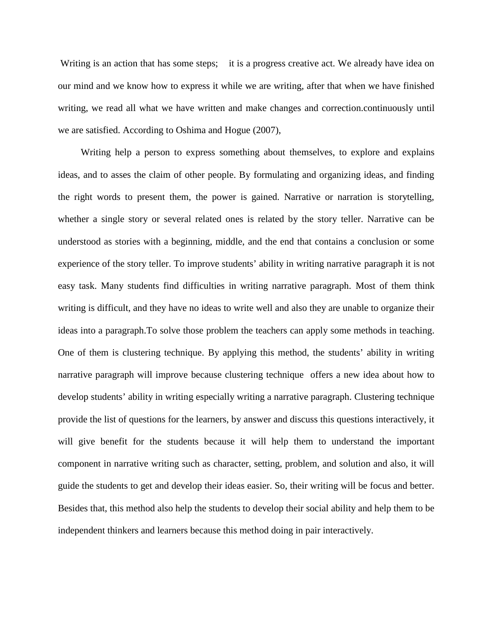Writing is an action that has some steps; it is a progress creative act. We already have idea on our mind and we know how to express it while we are writing, after that when we have finished writing, we read all what we have written and make changes and correction.continuously until we are satisfied. According to Oshima and Hogue (2007),

Writing help a person to express something about themselves, to explore and explains ideas, and to asses the claim of other people. By formulating and organizing ideas, and finding the right words to present them, the power is gained. Narrative or narration is storytelling, whether a single story or several related ones is related by the story teller. Narrative can be understood as stories with a beginning, middle, and the end that contains a conclusion or some experience of the story teller. To improve students' ability in writing narrative paragraph it is not easy task. Many students find difficulties in writing narrative paragraph. Most of them think writing is difficult, and they have no ideas to write well and also they are unable to organize their ideas into a paragraph.To solve those problem the teachers can apply some methods in teaching. One of them is clustering technique. By applying this method, the students' ability in writing narrative paragraph will improve because clustering technique offers a new idea about how to develop students' ability in writing especially writing a narrative paragraph. Clustering technique provide the list of questions for the learners, by answer and discuss this questions interactively, it will give benefit for the students because it will help them to understand the important component in narrative writing such as character, setting, problem, and solution and also, it will guide the students to get and develop their ideas easier. So, their writing will be focus and better. Besides that, this method also help the students to develop their social ability and help them to be independent thinkers and learners because this method doing in pair interactively.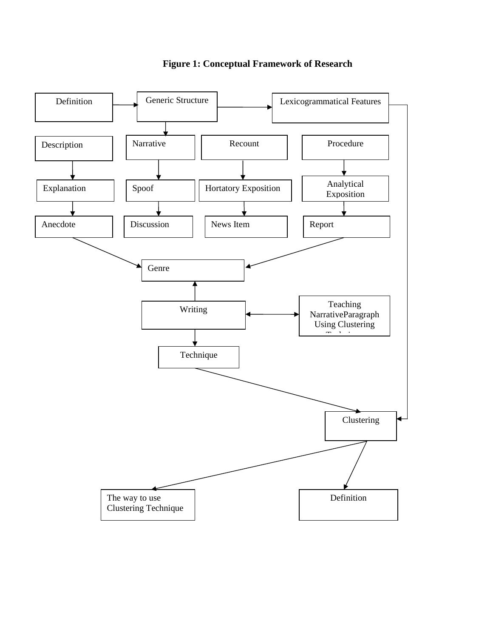

**Figure 1: Conceptual Framework of Research**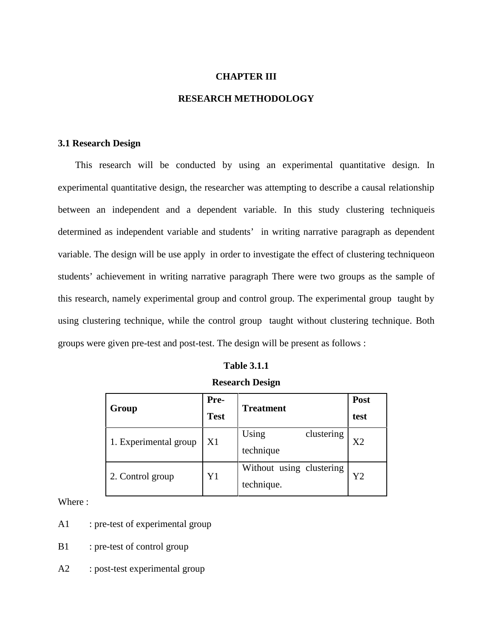#### **CHAPTER III**

### **RESEARCH METHODOLOGY**

### **3.1 Research Design**

This research will be conducted by using an experimental quantitative design. In experimental quantitative design, the researcher was attempting to describe a causal relationship between an independent and a dependent variable. In this study clustering techniqueis determined as independent variable and students' in writing narrative paragraph as dependent variable. The design will be use apply in order to investigate the effect of clustering techniqueon students' achievement in writing narrative paragraph There were two groups as the sample of this research, namely experimental group and control group. The experimental group taught by using clustering technique, while the control group taught without clustering technique. Both groups were given pre-test and post-test. The design will be present as follows :

### **Table 3.1.1**

#### **Research Design**

| Group                 | Pre-        | <b>Treatment</b>         | Post |  |
|-----------------------|-------------|--------------------------|------|--|
|                       | <b>Test</b> |                          | test |  |
| 1. Experimental group | X1          | Using<br>clustering      | X2   |  |
|                       |             | technique                |      |  |
| 2. Control group      | Y1          | Without using clustering | Y2   |  |
|                       |             | technique.               |      |  |

Where :

- A1 : pre-test of experimental group
- B1 : pre-test of control group
- A2 : post-test experimental group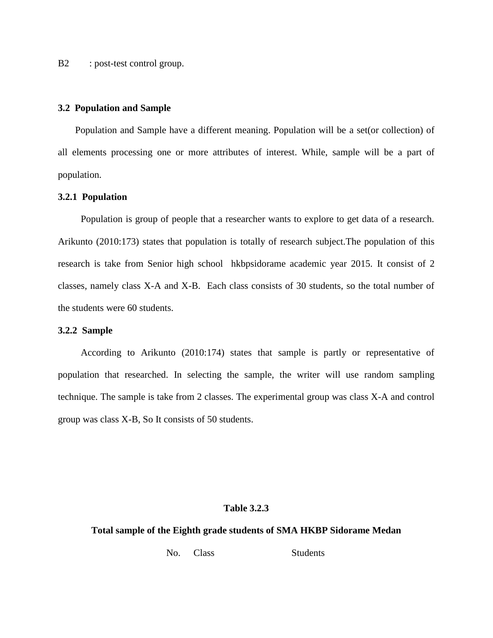B2 : post-test control group.

#### **3.2 Population and Sample**

Population and Sample have a different meaning. Population will be a set(or collection) of all elements processing one or more attributes of interest. While, sample will be a part of population.

#### **3.2.1 Population**

Population is group of people that a researcher wants to explore to get data of a research. Arikunto (2010:173) states that population is totally of research subject.The population of this research is take from Senior high school hkbpsidorame academic year 2015. It consist of 2 classes, namely class X-A and X-B. Each class consists of 30 students, so the total number of the students were 60 students.

#### **3.2.2 Sample**

According to Arikunto (2010:174) states that sample is partly or representative of population that researched. In selecting the sample, the writer will use random sampling technique. The sample is take from 2 classes. The experimental group was class X-A and control group was class X-B, So It consists of 50 students.

#### **Table 3.2.3**

#### **Total sample of the Eighth grade students of SMA HKBP Sidorame Medan**

No. Class Students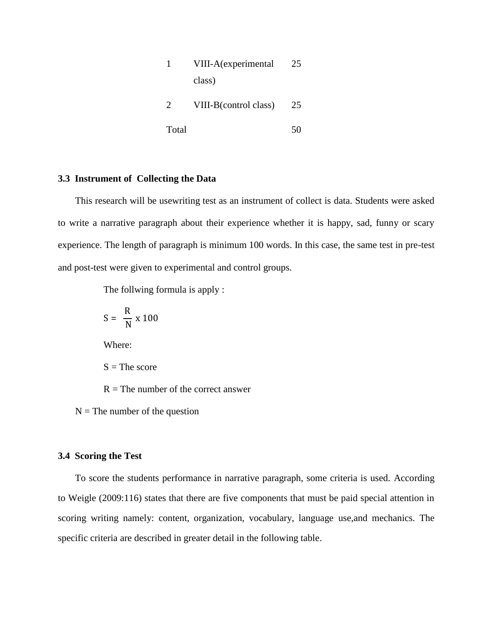|       | VIII-A(experimental   | 25 |
|-------|-----------------------|----|
|       | class)                |    |
| 2     | VIII-B(control class) | 25 |
| Total |                       | 50 |

## **3.3 Instrument of Collecting the Data**

This research will be usewriting test as an instrument of collect is data. Students were asked to write a narrative paragraph about their experience whether it is happy, sad, funny or scary experience. The length of paragraph is minimum 100 words. In this case, the same test in pre-test and post-test were given to experimental and control groups.

The follwing formula is apply :

$$
S = \frac{R}{N} \times 100
$$

Where:

 $S$  = The score

 $R =$ The number of the correct answer

 $N =$ The number of the question

#### **3.4 Scoring the Test**

To score the students performance in narrative paragraph, some criteria is used. According to Weigle (2009:116) states that there are five components that must be paid special attention in scoring writing namely: content, organization, vocabulary, language use,and mechanics. The specific criteria are described in greater detail in the following table.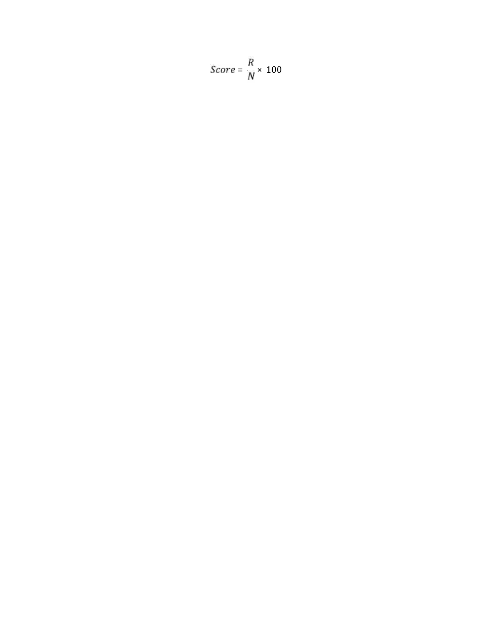$$
Score = \frac{R}{N} \times 100
$$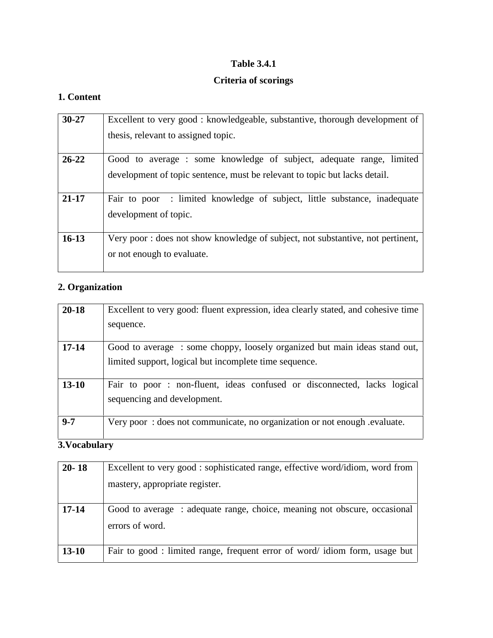# **Table 3.4.1**

# **Criteria of scorings**

# **1. Content**

| $30 - 27$ | Excellent to very good: knowledgeable, substantive, thorough development of                                                                        |
|-----------|----------------------------------------------------------------------------------------------------------------------------------------------------|
|           | thesis, relevant to assigned topic.                                                                                                                |
| $26 - 22$ | Good to average : some knowledge of subject, adequate range, limited<br>development of topic sentence, must be relevant to topic but lacks detail. |
| $21 - 17$ | Fair to poor : limited knowledge of subject, little substance, inadequate<br>development of topic.                                                 |
| $16-13$   | Very poor: does not show knowledge of subject, not substantive, not pertinent,<br>or not enough to evaluate.                                       |

# **2. Organization**

| $20 - 18$ | Excellent to very good: fluent expression, idea clearly stated, and cohesive time<br>sequence.                                      |
|-----------|-------------------------------------------------------------------------------------------------------------------------------------|
| $17 - 14$ | Good to average: some choppy, loosely organized but main ideas stand out,<br>limited support, logical but incomplete time sequence. |
| $13 - 10$ | Fair to poor: non-fluent, ideas confused or disconnected, lacks logical<br>sequencing and development.                              |
| $9 - 7$   | Very poor: does not communicate, no organization or not enough .evaluate.                                                           |

# **3.Vocabulary**

| $20 - 18$ | Excellent to very good : sophisticated range, effective word/idiom, word from<br>mastery, appropriate register. |
|-----------|-----------------------------------------------------------------------------------------------------------------|
| $17 - 14$ | Good to average: adequate range, choice, meaning not obscure, occasional<br>errors of word.                     |
| $13-10$   | Fair to good : limited range, frequent error of word/ idiom form, usage but                                     |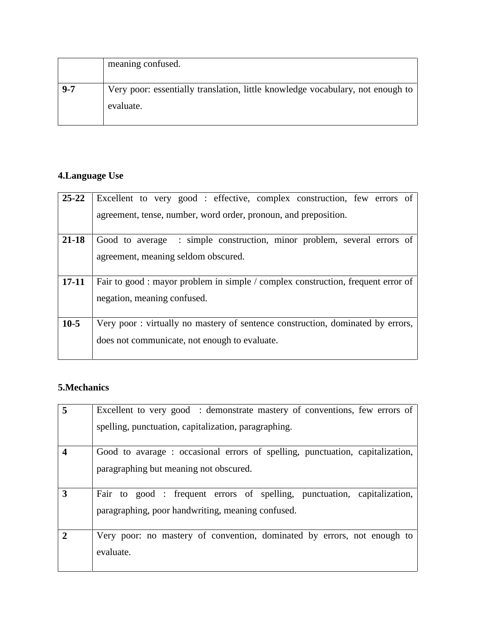|         | meaning confused.                                                                           |  |
|---------|---------------------------------------------------------------------------------------------|--|
| $9 - 7$ | Very poor: essentially translation, little knowledge vocabulary, not enough to<br>evaluate. |  |

# **4.Language Use**

| $25 - 22$ | Excellent to very good: effective, complex construction, few errors of                                          |  |  |
|-----------|-----------------------------------------------------------------------------------------------------------------|--|--|
|           | agreement, tense, number, word order, pronoun, and preposition.                                                 |  |  |
| $21 - 18$ | Good to average : simple construction, minor problem, several errors of                                         |  |  |
|           | agreement, meaning seldom obscured.                                                                             |  |  |
| $17 - 11$ | Fair to good : mayor problem in simple / complex construction, frequent error of<br>negation, meaning confused. |  |  |
| $10-5$    | Very poor: virtually no mastery of sentence construction, dominated by errors,                                  |  |  |
|           | does not communicate, not enough to evaluate.                                                                   |  |  |
|           |                                                                                                                 |  |  |

# **5.Mechanics**

| 5 | Excellent to very good : demonstrate mastery of conventions, few errors of                                                   |  |  |
|---|------------------------------------------------------------------------------------------------------------------------------|--|--|
|   | spelling, punctuation, capitalization, paragraphing.                                                                         |  |  |
| 4 | Good to avarage: occasional errors of spelling, punctuation, capitalization,<br>paragraphing but meaning not obscured.       |  |  |
| 3 | Fair to good: frequent errors of spelling, punctuation, capitalization,<br>paragraphing, poor handwriting, meaning confused. |  |  |
|   | Very poor: no mastery of convention, dominated by errors, not enough to<br>evaluate.                                         |  |  |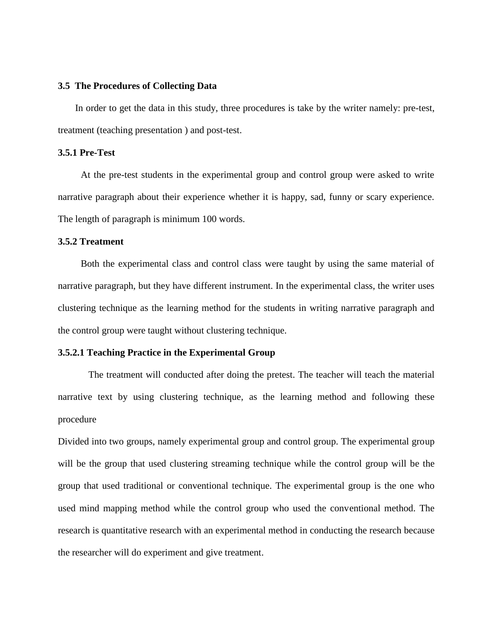### **3.5 The Procedures of Collecting Data**

In order to get the data in this study, three procedures is take by the writer namely: pre-test, treatment (teaching presentation ) and post-test.

### **3.5.1 Pre-Test**

At the pre-test students in the experimental group and control group were asked to write narrative paragraph about their experience whether it is happy, sad, funny or scary experience. The length of paragraph is minimum 100 words.

#### **3.5.2 Treatment**

Both the experimental class and control class were taught by using the same material of narrative paragraph, but they have different instrument. In the experimental class, the writer uses clustering technique as the learning method for the students in writing narrative paragraph and the control group were taught without clustering technique.

#### **3.5.2.1 Teaching Practice in the Experimental Group**

The treatment will conducted after doing the pretest. The teacher will teach the material narrative text by using clustering technique, as the learning method and following these procedure

Divided into two groups, namely experimental group and control group. The experimental group will be the group that used clustering streaming technique while the control group will be the group that used traditional or conventional technique. The experimental group is the one who used mind mapping method while the control group who used the conventional method. The research is quantitative research with an experimental method in conducting the research because the researcher will do experiment and give treatment.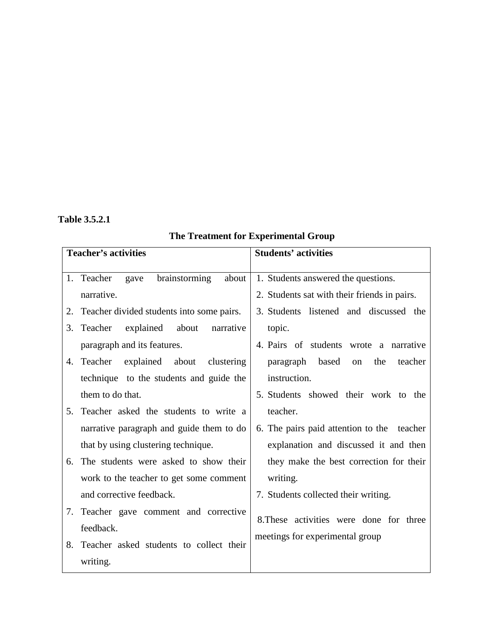# **Table 3.5.2.1**

# **The Treatment for Experimental Group**

|          | <b>Teacher's activities</b>                                                      | <b>Students' activities</b>                                                         |
|----------|----------------------------------------------------------------------------------|-------------------------------------------------------------------------------------|
|          | 1. Teacher<br>brainstorming<br>about<br>gave<br>narrative.                       | 1. Students answered the questions.<br>2. Students sat with their friends in pairs. |
| 2.<br>3. | Teacher divided students into some pairs.<br>Teacher<br>about<br>narrative       | 3. Students listened and discussed the                                              |
|          | explained<br>paragraph and its features.                                         | topic.<br>4. Pairs of students wrote a narrative                                    |
| 4.       | Teacher explained about<br>clustering<br>technique to the students and guide the | paragraph based<br>the<br>on<br>teacher<br>instruction.                             |
|          | them to do that.                                                                 | 5. Students showed their work to the                                                |
| 5.       | Teacher asked the students to write a                                            | teacher.                                                                            |
|          | narrative paragraph and guide them to do                                         | 6. The pairs paid attention to the teacher                                          |
|          | that by using clustering technique.                                              | explanation and discussed it and then                                               |
| 6.       | The students were asked to show their                                            | they make the best correction for their                                             |
|          | work to the teacher to get some comment                                          | writing.                                                                            |
|          | and corrective feedback.                                                         | 7. Students collected their writing.                                                |
| 7.       | Teacher gave comment and corrective                                              |                                                                                     |
|          | feedback.                                                                        | 8. These activities were done for three                                             |
| 8.       | Teacher asked students to collect their                                          | meetings for experimental group                                                     |
|          | writing.                                                                         |                                                                                     |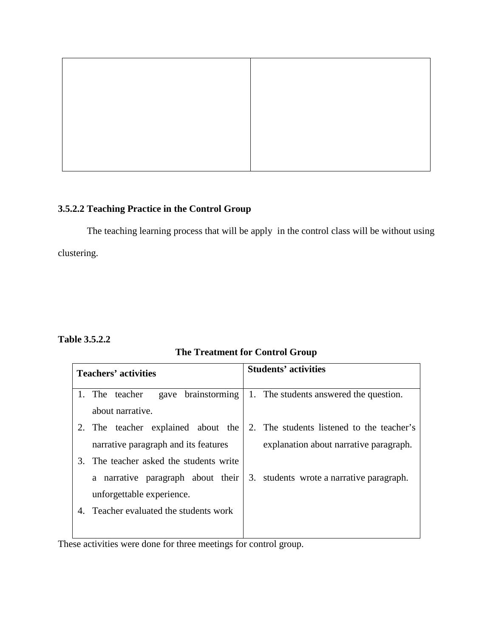# **3.5.2.2 Teaching Practice in the Control Group**

The teaching learning process that will be apply in the control class will be without using clustering.

# **Table 3.5.2.2**

# **The Treatment for Control Group**

| <b>Teachers' activities</b>             | <b>Students' activities</b>               |  |
|-----------------------------------------|-------------------------------------------|--|
| gave brainstorming<br>1. The teacher    | 1. The students answered the question.    |  |
| about narrative.                        |                                           |  |
| 2. The teacher explained about the      | 2. The students listened to the teacher's |  |
| narrative paragraph and its features    | explanation about narrative paragraph.    |  |
| 3. The teacher asked the students write |                                           |  |
| a narrative paragraph about their       | 3. students wrote a narrative paragraph.  |  |
| unforgettable experience.               |                                           |  |
| Teacher evaluated the students work     |                                           |  |
|                                         |                                           |  |

These activities were done for three meetings for control group.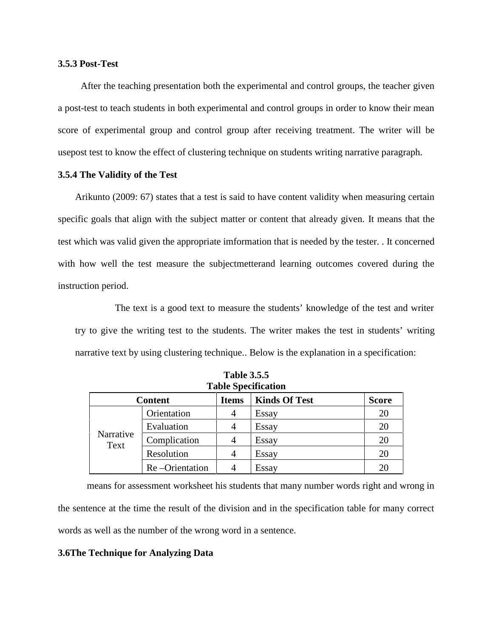#### **3.5.3 Post-Test**

After the teaching presentation both the experimental and control groups, the teacher given a post-test to teach students in both experimental and control groups in order to know their mean score of experimental group and control group after receiving treatment. The writer will be usepost test to know the effect of clustering technique on students writing narrative paragraph.

#### **3.5.4 The Validity of the Test**

Arikunto (2009: 67) states that a test is said to have content validity when measuring certain specific goals that align with the subject matter or content that already given. It means that the test which was valid given the appropriate imformation that is needed by the tester. . It concerned with how well the test measure the subjectmetterand learning outcomes covered during the instruction period.

The text is a good text to measure the students' knowledge of the test and writer try to give the writing test to the students. The writer makes the test in students' writing narrative text by using clustering technique.. Below is the explanation in a specification:

| <b>Table operation</b> |                |              |                      |              |  |  |
|------------------------|----------------|--------------|----------------------|--------------|--|--|
| <b>Content</b>         |                | <b>Items</b> | <b>Kinds Of Test</b> | <b>Score</b> |  |  |
| Narrative<br>Text      | Orientation    | 4            | Essay                | 20           |  |  |
|                        | Evaluation     | 4            | Essay                | 20           |  |  |
|                        | Complication   | 4            | Essay                | 20           |  |  |
|                        | Resolution     | 4            | Essay                | 20           |  |  |
|                        | Re-Orientation |              | Essay                | 20           |  |  |

**Table 3.5.5 Table Specification**

means for assessment worksheet his students that many number words right and wrong in the sentence at the time the result of the division and in the specification table for many correct words as well as the number of the wrong word in a sentence.

#### **3.6The Technique for Analyzing Data**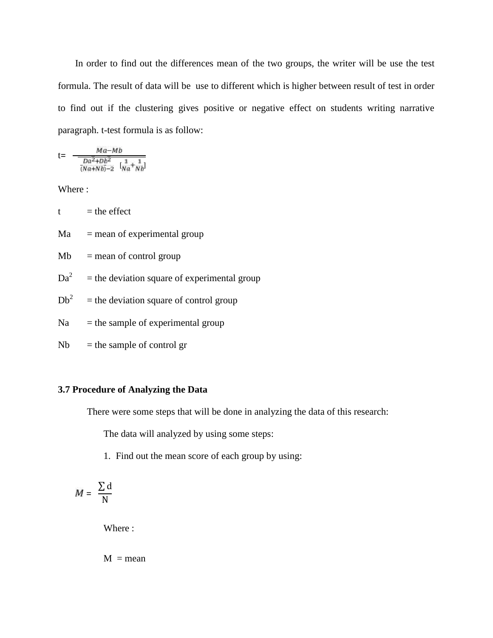In order to find out the differences mean of the two groups, the writer will be use the test formula. The result of data will be use to different which is higher between result of test in order to find out if the clustering gives positive or negative effect on students writing narrative paragraph. t-test formula is as follow:

$$
t = \frac{Ma - Mb}{\frac{Da^2 + Db^2}{(Na + Nb) - 2} \left[\frac{1}{Na + Nb}\right]}
$$

Where :

 $t =$  the effect

 $Ma$  = mean of experimental group

 $Mb = mean of control group$ 

- $Da<sup>2</sup>$  = the deviation square of experimental group
- $Db<sup>2</sup>$  = the deviation square of control group
- $Na =$  the sample of experimental group
- $Nb$  = the sample of control gr

#### **3.7 Procedure of Analyzing the Data**

There were some steps that will be done in analyzing the data of this research:

The data will analyzed by using some steps:

1. Find out the mean score of each group by using:

$$
M = \frac{\sum d}{N}
$$

Where :

 $M = mean$